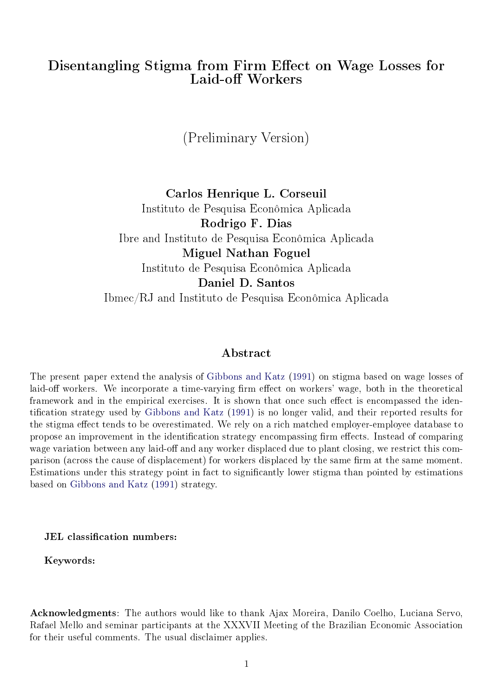## <span id="page-0-0"></span>Disentangling Stigma from Firm Effect on Wage Losses for Laid-off Workers

(Preliminary Version)

Carlos Henrique L. Corseuil Instituto de Pesquisa Econômica Aplicada Rodrigo F. Dias Ibre and Instituto de Pesquisa Econômica Aplicada Miguel Nathan Foguel Instituto de Pesquisa Econômica Aplicada Daniel D. Santos Ibmec/RJ and Instituto de Pesquisa Econômica Aplicada

### Abstract

The present paper extend the analysis of [Gibbons and Katz](#page-24-0) [\(1991\)](#page-24-0) on stigma based on wage losses of laid-off workers. We incorporate a time-varying firm effect on workers' wage, both in the theoretical framework and in the empirical exercises. It is shown that once such effect is encompassed the iden-tification strategy used by [Gibbons and Katz](#page-24-0) [\(1991\)](#page-24-0) is no longer valid, and their reported results for the stigma effect tends to be overestimated. We rely on a rich matched employer-employee database to propose an improvement in the identification strategy encompassing firm effects. Instead of comparing wage variation between any laid-off and any worker displaced due to plant closing, we restrict this comparison (across the cause of displacement) for workers displaced by the same firm at the same moment. Estimations under this strategy point in fact to signicantly lower stigma than pointed by estimations based on [Gibbons and Katz](#page-24-0) [\(1991\)](#page-24-0) strategy.

JEL classification numbers:

Keywords:

Acknowledgments: The authors would like to thank Ajax Moreira, Danilo Coelho, Luciana Servo, Rafael Mello and seminar participants at the XXXVII Meeting of the Brazilian Economic Association for their useful comments. The usual disclaimer applies.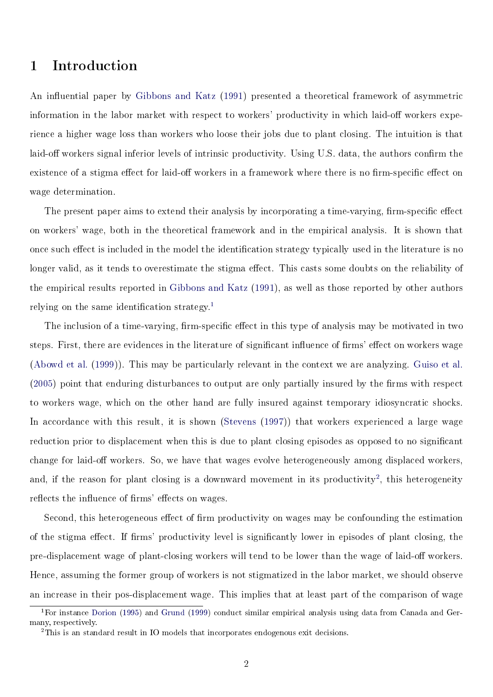## 1 Introduction

An influential paper by [Gibbons and Katz](#page-24-0) [\(1991\)](#page-24-0) presented a theoretical framework of asymmetric information in the labor market with respect to workers' productivity in which laid-off workers experience a higher wage loss than workers who loose their jobs due to plant closing. The intuition is that laid-off workers signal inferior levels of intrinsic productivity. Using U.S. data, the authors confirm the existence of a stigma effect for laid-off workers in a framework where there is no firm-specific effect on wage determination.

The present paper aims to extend their analysis by incorporating a time-varying, firm-specific effect on workers' wage, both in the theoretical framework and in the empirical analysis. It is shown that once such effect is included in the model the identification strategy typically used in the literature is no longer valid, as it tends to overestimate the stigma effect. This casts some doubts on the reliability of the empirical results reported in [Gibbons and Katz](#page-24-0) [\(1991\)](#page-24-0), as well as those reported by other authors relying on the same identification strategy.<sup>[1](#page-0-0)</sup>

The inclusion of a time-varying, firm-specific effect in this type of analysis may be motivated in two steps. First, there are evidences in the literature of significant influence of firms' effect on workers wage [\(Abowd et al.](#page-24-1) [\(1999\)](#page-24-1)). This may be particularly relevant in the context we are analyzing. [Guiso et al.](#page-25-0)  $(2005)$  point that enduring disturbances to output are only partially insured by the firms with respect to workers wage, which on the other hand are fully insured against temporary idiosyncratic shocks. In accordance with this result, it is shown [\(Stevens](#page-25-1) [\(1997\)](#page-25-1)) that workers experienced a large wage reduction prior to displacement when this is due to plant closing episodes as opposed to no signicant change for laid-off workers. So, we have that wages evolve heterogeneously among displaced workers, and, if the reason for plant closing is a downward movement in its productivity<sup>[2](#page-0-0)</sup>, this heterogeneity reflects the influence of firms' effects on wages.

Second, this heterogeneous effect of firm productivity on wages may be confounding the estimation of the stigma effect. If firms' productivity level is significantly lower in episodes of plant closing, the pre-displacement wage of plant-closing workers will tend to be lower than the wage of laid-off workers. Hence, assuming the former group of workers is not stigmatized in the labor market, we should observe an increase in their pos-displacement wage. This implies that at least part of the comparison of wage

<sup>1</sup>For instance [Dorion](#page-24-2) [\(1995\)](#page-24-2) and [Grund](#page-25-2) [\(1999\)](#page-25-2) conduct similar empirical analysis using data from Canada and Germany, respectively.

<sup>2</sup>This is an standard result in IO models that incorporates endogenous exit decisions.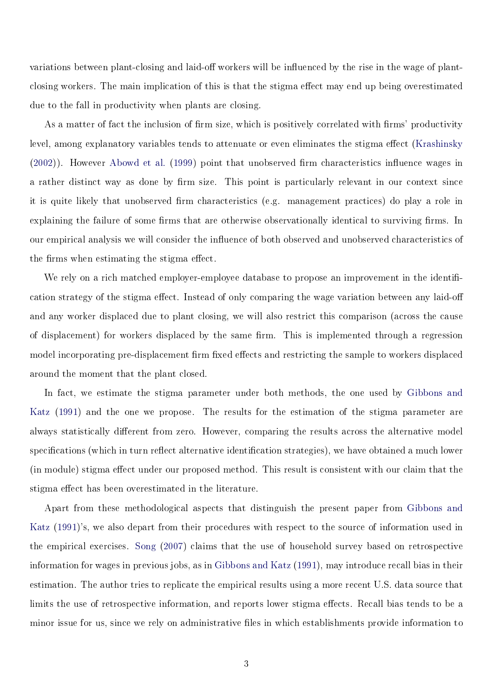variations between plant-closing and laid-off workers will be influenced by the rise in the wage of plantclosing workers. The main implication of this is that the stigma effect may end up being overestimated due to the fall in productivity when plants are closing.

As a matter of fact the inclusion of firm size, which is positively correlated with firms' productivity level, among explanatory variables tends to attenuate or even eliminates the stigma effect [\(Krashinsky](#page-25-3)  $(2002)$ ). However [Abowd et al.](#page-24-1)  $(1999)$  point that unobserved firm characteristics influence wages in a rather distinct way as done by firm size. This point is particularly relevant in our context since it is quite likely that unobserved firm characteristics (e.g. management practices) do play a role in explaining the failure of some firms that are otherwise observationally identical to surviving firms. In our empirical analysis we will consider the influence of both observed and unobserved characteristics of the firms when estimating the stigma effect.

We rely on a rich matched employer-employee database to propose an improvement in the identification strategy of the stigma effect. Instead of only comparing the wage variation between any laid-off and any worker displaced due to plant closing, we will also restrict this comparison (across the cause of displacement) for workers displaced by the same firm. This is implemented through a regression model incorporating pre-displacement firm fixed effects and restricting the sample to workers displaced around the moment that the plant closed.

In fact, we estimate the stigma parameter under both methods, the one used by [Gibbons and](#page-24-0) [Katz](#page-24-0) [\(1991\)](#page-24-0) and the one we propose. The results for the estimation of the stigma parameter are always statistically different from zero. However, comparing the results across the alternative model specifications (which in turn reflect alternative identification strategies), we have obtained a much lower (in module) stigma effect under our proposed method. This result is consistent with our claim that the stigma effect has been overestimated in the literature.

Apart from these methodological aspects that distinguish the present paper from [Gibbons and](#page-24-0) [Katz](#page-24-0) [\(1991\)](#page-24-0)'s, we also depart from their procedures with respect to the source of information used in the empirical exercises. [Song](#page-25-4) [\(2007\)](#page-25-4) claims that the use of household survey based on retrospective information for wages in previous jobs, as in [Gibbons and Katz](#page-24-0) [\(1991\)](#page-24-0), may introduce recall bias in their estimation. The author tries to replicate the empirical results using a more recent U.S. data source that limits the use of retrospective information, and reports lower stigma effects. Recall bias tends to be a minor issue for us, since we rely on administrative files in which establishments provide information to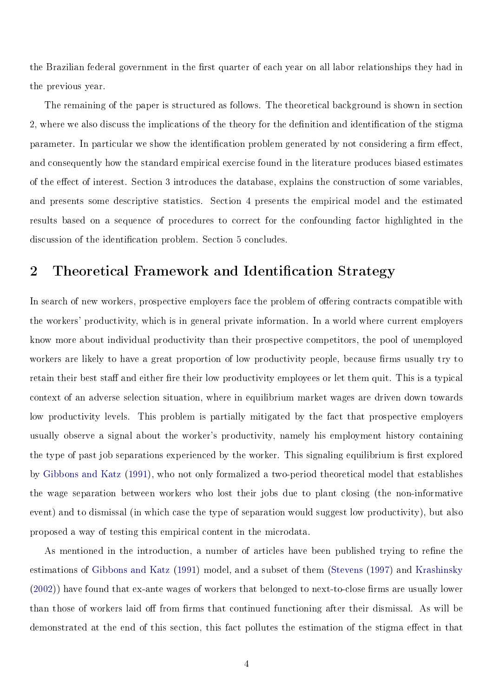the Brazilian federal government in the first quarter of each year on all labor relationships they had in the previous year.

The remaining of the paper is structured as follows. The theoretical background is shown in section 2, where we also discuss the implications of the theory for the definition and identification of the stigma parameter. In particular we show the identification problem generated by not considering a firm effect, and consequently how the standard empirical exercise found in the literature produces biased estimates of the eect of interest. Section 3 introduces the database, explains the construction of some variables, and presents some descriptive statistics. Section 4 presents the empirical model and the estimated results based on a sequence of procedures to correct for the confounding factor highlighted in the discussion of the identification problem. Section 5 concludes.

# 2 Theoretical Framework and Identification Strategy

In search of new workers, prospective employers face the problem of offering contracts compatible with the workers' productivity, which is in general private information. In a world where current employers know more about individual productivity than their prospective competitors, the pool of unemployed workers are likely to have a great proportion of low productivity people, because firms usually try to retain their best staff and either fire their low productivity employees or let them quit. This is a typical context of an adverse selection situation, where in equilibrium market wages are driven down towards low productivity levels. This problem is partially mitigated by the fact that prospective employers usually observe a signal about the worker's productivity, namely his employment history containing the type of past job separations experienced by the worker. This signaling equilibrium is first explored by [Gibbons and Katz](#page-24-0) [\(1991\)](#page-24-0), who not only formalized a two-period theoretical model that establishes the wage separation between workers who lost their jobs due to plant closing (the non-informative event) and to dismissal (in which case the type of separation would suggest low productivity), but also proposed a way of testing this empirical content in the microdata.

As mentioned in the introduction, a number of articles have been published trying to refine the estimations of [Gibbons and Katz](#page-24-0) [\(1991\)](#page-24-0) model, and a subset of them [\(Stevens](#page-25-1) [\(1997\)](#page-25-1) and [Krashinsky](#page-25-3)  $(2002)$ ) have found that ex-ante wages of workers that belonged to next-to-close firms are usually lower than those of workers laid off from firms that continued functioning after their dismissal. As will be demonstrated at the end of this section, this fact pollutes the estimation of the stigma effect in that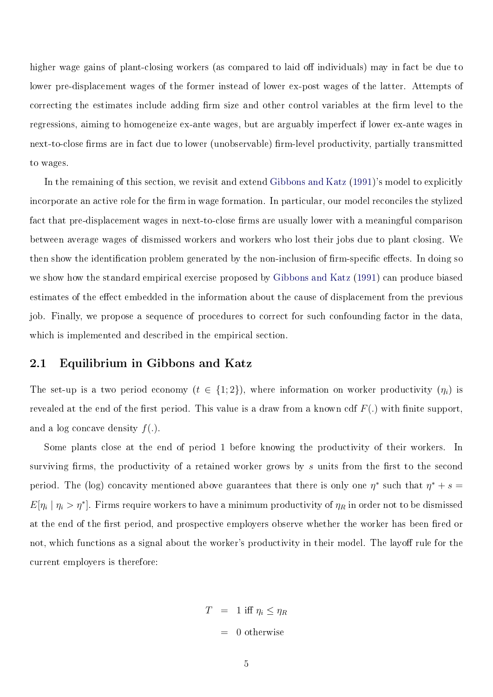higher wage gains of plant-closing workers (as compared to laid off individuals) may in fact be due to lower pre-displacement wages of the former instead of lower ex-post wages of the latter. Attempts of correcting the estimates include adding firm size and other control variables at the firm level to the regressions, aiming to homogeneize ex-ante wages, but are arguably imperfect if lower ex-ante wages in next-to-close firms are in fact due to lower (unobservable) firm-level productivity, partially transmitted to wages.

In the remaining of this section, we revisit and extend [Gibbons and Katz](#page-24-0) [\(1991\)](#page-24-0)'s model to explicitly incorporate an active role for the firm in wage formation. In particular, our model reconciles the stylized fact that pre-displacement wages in next-to-close firms are usually lower with a meaningful comparison between average wages of dismissed workers and workers who lost their jobs due to plant closing. We then show the identification problem generated by the non-inclusion of firm-specific effects. In doing so we show how the standard empirical exercise proposed by [Gibbons and Katz](#page-24-0) [\(1991\)](#page-24-0) can produce biased estimates of the effect embedded in the information about the cause of displacement from the previous job. Finally, we propose a sequence of procedures to correct for such confounding factor in the data, which is implemented and described in the empirical section.

#### 2.1 Equilibrium in Gibbons and Katz

The set-up is a two period economy  $(t \in \{1,2\})$ , where information on worker productivity  $(\eta_i)$  is revealed at the end of the first period. This value is a draw from a known cdf  $F(.)$  with finite support, and a log concave density  $f(.)$ .

Some plants close at the end of period 1 before knowing the productivity of their workers. In surviving firms, the productivity of a retained worker grows by s units from the first to the second period. The (log) concavity mentioned above guarantees that there is only one  $\eta^*$  such that  $\eta^* + s =$  $E[\eta_i | \eta_i > \eta^*]$ . Firms require workers to have a minimum productivity of  $\eta_R$  in order not to be dismissed at the end of the first period, and prospective employers observe whether the worker has been fired or not, which functions as a signal about the worker's productivity in their model. The layoff rule for the current employers is therefore:

> $T = 1$  iff  $\eta_i \leq \eta_R$  $= 0$  otherwise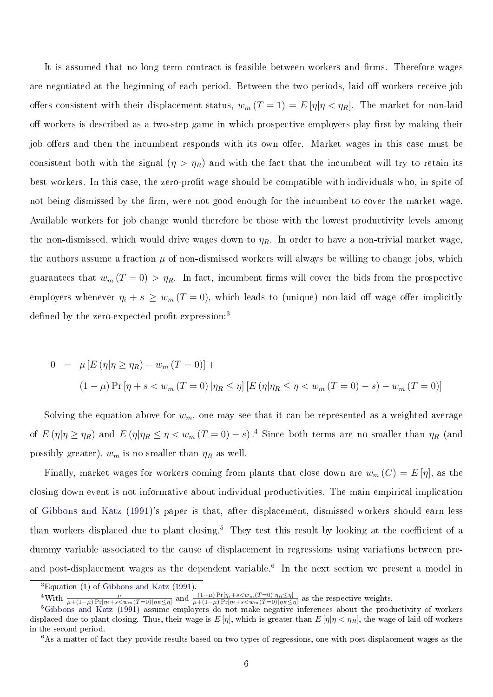It is assumed that no long term contract is feasible between workers and firms. Therefore wages are negotiated at the beginning of each period. Between the two periods, laid off workers receive job offers consistent with their displacement status,  $w_m (T = 1) = E[\eta | \eta < \eta_R]$ . The market for non-laid off workers is described as a two-step game in which prospective employers play first by making their job offers and then the incumbent responds with its own offer. Market wages in this case must be consistent both with the signal  $(\eta > \eta_R)$  and with the fact that the incumbent will try to retain its best workers. In this case, the zero-profit wage should be compatible with individuals who, in spite of not being dismissed by the firm, were not good enough for the incumbent to cover the market wage. Available workers for job change would therefore be those with the lowest productivity levels among the non-dismissed, which would drive wages down to  $\eta_R$ . In order to have a non-trivial market wage, the authors assume a fraction  $\mu$  of non-dismissed workers will always be willing to change jobs, which guarantees that  $w_m (T = 0) > \eta_R$ . In fact, incumbent firms will cover the bids from the prospective employers whenever  $\eta_i + s \geq w_m$  (T = 0), which leads to (unique) non-laid off wage offer implicitly defined by the zero-expected profit expression: $3$ 

$$
0 = \mu [E (\eta | \eta \ge \eta_R) - w_m (T = 0)] +
$$
  

$$
(1 - \mu) \Pr [\eta + s < w_m (T = 0) | \eta_R \le \eta] [E (\eta | \eta_R \le \eta < w_m (T = 0) - s) - w_m (T = 0)]
$$

Solving the equation above for  $w_m$ , one may see that it can be represented as a weighted average of  $E(\eta|\eta \geq \eta_R)$  and  $E(\eta|\eta_R \leq \eta < w_m (T=0) - s)$ .<sup>[4](#page-0-0)</sup> Since both terms are no smaller than  $\eta_R$  (and possibly greater),  $w_m$  is no smaller than  $\eta_R$  as well.

Finally, market wages for workers coming from plants that close down are  $w_m(C) = E[\eta]$ , as the closing down event is not informative about individual productivities. The main empirical implication of [Gibbons and Katz](#page-24-0) [\(1991\)](#page-24-0)'s paper is that, after displacement, dismissed workers should earn less than workers displaced due to plant closing.<sup>[5](#page-0-0)</sup> They test this result by looking at the coefficient of a dummy variable associated to the cause of displacement in regressions using variations between pre-and post-displacement wages as the dependent variable.<sup>[6](#page-0-0)</sup> In the next section we present a model in

 ${}^{3}$ Equation (1) of [Gibbons and Katz](#page-24-0) [\(1991\)](#page-24-0).

<sup>&</sup>lt;sup>4</sup>With  $\frac{\mu}{\mu+(1-\mu)\Pr[\eta_i+s\lt w_m(T=0)|\eta_R\leq\eta]}$  and  $\frac{(1-\mu)\Pr[\eta_i+s\lt w_m(T=0)|\eta_R\leq\eta]}{\mu+(1-\mu)\Pr[\eta_i+s\lt w_m(T=0)|\eta_R\leq\eta]}$  as the respective weights.

 ${}^5G$ ibbons and Katz [\(1991\)](#page-24-0) assume employers do not make negative inferences about the productivity of workers displaced due to plant closing. Thus, their wage is  $E[\eta]$ , which is greater than  $E[\eta|\eta<\eta_R]$ , the wage of laid-off workers in the second period.

 $6$ As a matter of fact they provide results based on two types of regressions, one with post-displacement wages as the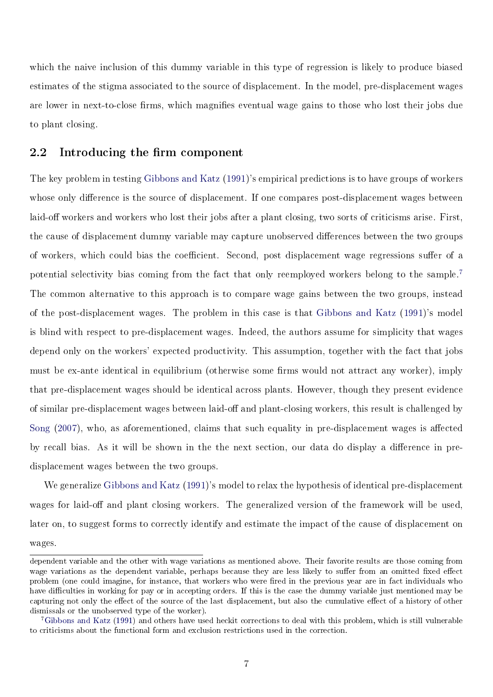which the naive inclusion of this dummy variable in this type of regression is likely to produce biased estimates of the stigma associated to the source of displacement. In the model, pre-displacement wages are lower in next-to-close firms, which magnifies eventual wage gains to those who lost their jobs due to plant closing.

### 2.2 Introducing the firm component

The key problem in testing [Gibbons and Katz](#page-24-0) [\(1991\)](#page-24-0)'s empirical predictions is to have groups of workers whose only difference is the source of displacement. If one compares post-displacement wages between laid-off workers and workers who lost their jobs after a plant closing, two sorts of criticisms arise. First, the cause of displacement dummy variable may capture unobserved differences between the two groups of workers, which could bias the coefficient. Second, post displacement wage regressions suffer of a potential selectivity bias coming from the fact that only reemployed workers belong to the sample.[7](#page-0-0) The common alternative to this approach is to compare wage gains between the two groups, instead of the post-displacement wages. The problem in this case is that [Gibbons and Katz](#page-24-0) [\(1991\)](#page-24-0)'s model is blind with respect to pre-displacement wages. Indeed, the authors assume for simplicity that wages depend only on the workers' expected productivity. This assumption, together with the fact that jobs must be ex-ante identical in equilibrium (otherwise some firms would not attract any worker), imply that pre-displacement wages should be identical across plants. However, though they present evidence of similar pre-displacement wages between laid-off and plant-closing workers, this result is challenged by [Song](#page-25-4)  $(2007)$ , who, as aforementioned, claims that such equality in pre-displacement wages is affected by recall bias. As it will be shown in the the next section, our data do display a difference in predisplacement wages between the two groups.

We generalize [Gibbons and Katz](#page-24-0) [\(1991\)](#page-24-0)'s model to relax the hypothesis of identical pre-displacement wages for laid-off and plant closing workers. The generalized version of the framework will be used, later on, to suggest forms to correctly identify and estimate the impact of the cause of displacement on wages.

dependent variable and the other with wage variations as mentioned above. Their favorite results are those coming from wage variations as the dependent variable, perhaps because they are less likely to suffer from an omitted fixed effect problem (one could imagine, for instance, that workers who were fired in the previous year are in fact individuals who have difficulties in working for pay or in accepting orders. If this is the case the dummy variable just mentioned may be capturing not only the effect of the source of the last displacement, but also the cumulative effect of a history of other dismissals or the unobserved type of the worker).

<sup>7</sup>[Gibbons and Katz](#page-24-0) [\(1991\)](#page-24-0) and others have used heckit corrections to deal with this problem, which is still vulnerable to criticisms about the functional form and exclusion restrictions used in the correction.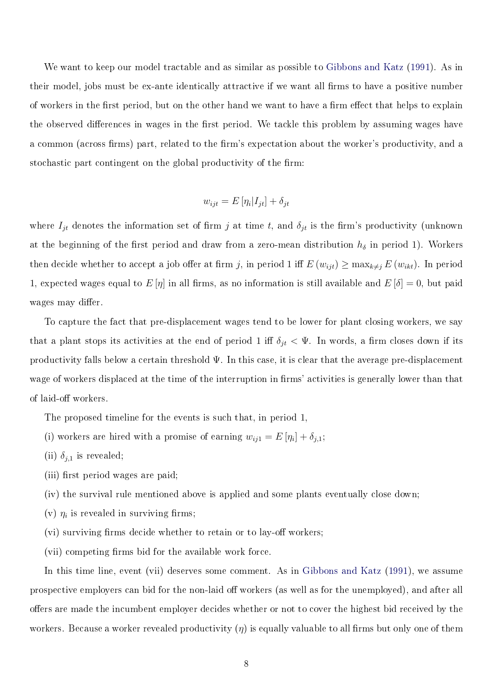We want to keep our model tractable and as similar as possible to [Gibbons and Katz](#page-24-0) [\(1991\)](#page-24-0). As in their model, jobs must be ex-ante identically attractive if we want all firms to have a positive number of workers in the first period, but on the other hand we want to have a firm effect that helps to explain the observed differences in wages in the first period. We tackle this problem by assuming wages have a common (across firms) part, related to the firm's expectation about the worker's productivity, and a stochastic part contingent on the global productivity of the firm:

$$
w_{ijt} = E[\eta_i | I_{jt}] + \delta_{jt}
$$

where  $I_{jt}$  denotes the information set of firm j at time t, and  $\delta_{jt}$  is the firm's productivity (unknown at the beginning of the first period and draw from a zero-mean distribution  $h_{\delta}$  in period 1). Workers then decide whether to accept a job offer at firm j, in period 1 iff  $E(w_{ijt}) \ge \max_{k \ne j} E(w_{ikt})$ . In period 1, expected wages equal to  $E[\eta]$  in all firms, as no information is still available and  $E[\delta] = 0$ , but paid wages may differ.

To capture the fact that pre-displacement wages tend to be lower for plant closing workers, we say that a plant stops its activities at the end of period 1 iff  $\delta_{jt} < \Psi$ . In words, a firm closes down if its productivity falls below a certain threshold  $\Psi$ . In this case, it is clear that the average pre-displacement wage of workers displaced at the time of the interruption in firms' activities is generally lower than that of laid-off workers.

The proposed timeline for the events is such that, in period 1,

- (i) workers are hired with a promise of earning  $w_{ij1} = E[\eta_i] + \delta_{j,1};$
- (ii)  $\delta_{j,1}$  is revealed;
- (iii) first period wages are paid;
- (iv) the survival rule mentioned above is applied and some plants eventually close down;
- (v)  $\eta_i$  is revealed in surviving firms;
- $(vi)$  surviving firms decide whether to retain or to lay-off workers:
- $(vii)$  competing firms bid for the available work force.

In this time line, event (vii) deserves some comment. As in [Gibbons and Katz](#page-24-0) [\(1991\)](#page-24-0), we assume prospective employers can bid for the non-laid off workers (as well as for the unemployed), and after all offers are made the incumbent employer decides whether or not to cover the highest bid received by the workers. Because a worker revealed productivity  $(\eta)$  is equally valuable to all firms but only one of them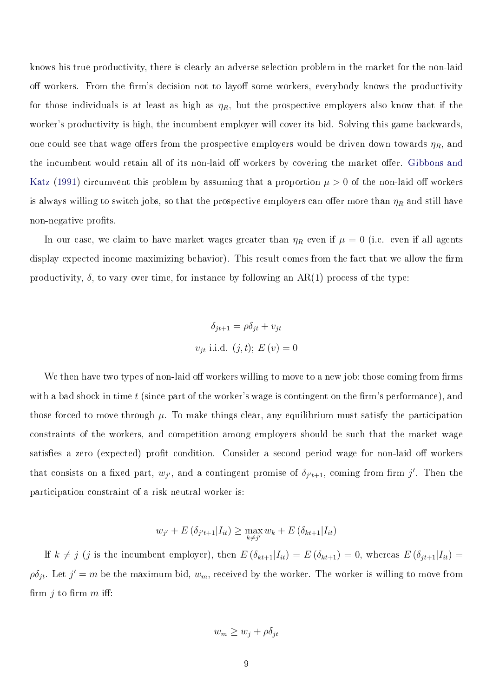knows his true productivity, there is clearly an adverse selection problem in the market for the non-laid off workers. From the firm's decision not to layoff some workers, everybody knows the productivity for those individuals is at least as high as  $\eta_R$ , but the prospective employers also know that if the worker's productivity is high, the incumbent employer will cover its bid. Solving this game backwards, one could see that wage offers from the prospective employers would be driven down towards  $\eta_R$ , and the incumbent would retain all of its non-laid off workers by covering the market offer. [Gibbons and](#page-24-0) [Katz](#page-24-0) [\(1991\)](#page-24-0) circumvent this problem by assuming that a proportion  $\mu > 0$  of the non-laid off workers is always willing to switch jobs, so that the prospective employers can offer more than  $\eta_R$  and still have non-negative profits.

In our case, we claim to have market wages greater than  $\eta_R$  even if  $\mu = 0$  (i.e. even if all agents display expected income maximizing behavior). This result comes from the fact that we allow the firm productivity,  $\delta$ , to vary over time, for instance by following an AR(1) process of the type:

$$
\delta_{jt+1} = \rho \delta_{jt} + v_{jt}
$$
  

$$
v_{jt} \text{ i.i.d. } (j, t); E(v) = 0
$$

We then have two types of non-laid off workers willing to move to a new job: those coming from firms with a bad shock in time  $t$  (since part of the worker's wage is contingent on the firm's performance), and those forced to move through  $\mu$ . To make things clear, any equilibrium must satisfy the participation constraints of the workers, and competition among employers should be such that the market wage satisfies a zero (expected) profit condition. Consider a second period wage for non-laid off workers that consists on a fixed part,  $w_{j'}$ , and a contingent promise of  $\delta_{j't+1}$ , coming from firm j'. Then the participation constraint of a risk neutral worker is:

$$
w_{j'} + E(\delta_{j't+1}|I_{it}) \ge \max_{k \neq j'} w_k + E(\delta_{kt+1}|I_{it})
$$

If  $k \neq j$  (j is the incumbent employer), then  $E(\delta_{kt+1}|I_{it}) = E(\delta_{kt+1}) = 0$ , whereas  $E(\delta_{jt+1}|I_{it}) =$  $\rho \delta_{jt}$ . Let  $j' = m$  be the maximum bid,  $w_m$ , received by the worker. The worker is willing to move from firm  $j$  to firm  $m$  iff:

$$
w_m \ge w_j + \rho \delta_{jt}
$$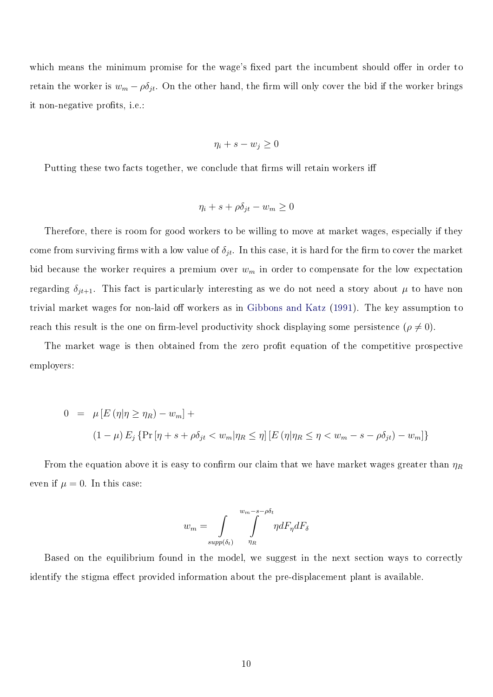which means the minimum promise for the wage's fixed part the incumbent should offer in order to retain the worker is  $w_m - \rho \delta_{jt}$ . On the other hand, the firm will only cover the bid if the worker brings it non-negative profits, i.e.:

$$
\eta_i + s - w_j \ge 0
$$

Putting these two facts together, we conclude that firms will retain workers iff

$$
\eta_i + s + \rho \delta_{jt} - w_m \ge 0
$$

Therefore, there is room for good workers to be willing to move at market wages, especially if they come from surviving firms with a low value of  $\delta_{jt}$ . In this case, it is hard for the firm to cover the market bid because the worker requires a premium over  $w_m$  in order to compensate for the low expectation regarding  $\delta_{jt+1}$ . This fact is particularly interesting as we do not need a story about  $\mu$  to have non trivial market wages for non-laid off workers as in [Gibbons and Katz](#page-24-0) [\(1991\)](#page-24-0). The key assumption to reach this result is the one on firm-level productivity shock displaying some persistence  $(\rho \neq 0)$ .

The market wage is then obtained from the zero profit equation of the competitive prospective employers:

$$
0 = \mu [E (\eta | \eta \ge \eta_R) - w_m] +
$$
  

$$
(1 - \mu) E_j \{ \Pr [\eta + s + \rho \delta_{jt} < w_m | \eta_R \le \eta] [E (\eta | \eta_R \le \eta < w_m - s - \rho \delta_{jt}) - w_m] \}
$$

From the equation above it is easy to confirm our claim that we have market wages greater than  $\eta_R$ even if  $\mu = 0$ . In this case:

$$
w_m = \int_{supp(\delta_t)} \int_{\eta_R}^{w_m - s - \rho \delta_t} \eta dF_{\eta} dF_{\delta}
$$

Based on the equilibrium found in the model, we suggest in the next section ways to correctly identify the stigma effect provided information about the pre-displacement plant is available.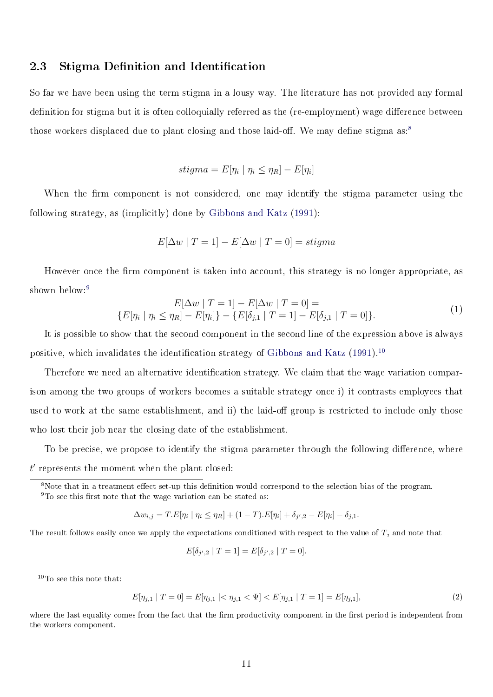### 2.3 Stigma Definition and Identification

So far we have been using the term stigma in a lousy way. The literature has not provided any formal definition for stigma but it is often colloquially referred as the (re-employment) wage difference between those workers displaced due to plant closing and those laid-off. We may define stigma  $as.^8$  $as.^8$ 

$$
stigma = E[\eta_i \mid \eta_i \le \eta_R] - E[\eta_i]
$$

When the firm component is not considered, one may identify the stigma parameter using the following strategy, as (implicitly) done by [Gibbons and Katz](#page-24-0) [\(1991\)](#page-24-0):

$$
E[\Delta w \mid T = 1] - E[\Delta w \mid T = 0] = stigma
$$

However once the firm component is taken into account, this strategy is no longer appropriate, as shown below:<sup>[9](#page-0-0)</sup>

<span id="page-10-0"></span>
$$
E[\Delta w | T = 1] - E[\Delta w | T = 0] =
$$
  

$$
\{E[\eta_i | \eta_i \le \eta_R] - E[\eta_i]\} - \{E[\delta_{j,1} | T = 1] - E[\delta_{j,1} | T = 0]\}.
$$

$$
(1)
$$

It is possible to show that the second component in the second line of the expression above is always positive, which invalidates the identification strategy of [Gibbons and Katz](#page-24-0)  $(1991)^{10}$  $(1991)^{10}$  $(1991)^{10}$  $(1991)^{10}$ 

Therefore we need an alternative identification strategy. We claim that the wage variation comparison among the two groups of workers becomes a suitable strategy once i) it contrasts employees that used to work at the same establishment, and ii) the laid-off group is restricted to include only those who lost their job near the closing date of the establishment.

To be precise, we propose to identify the stigma parameter through the following difference, where  $t'$  represents the moment when the plant closed:

<sup>8</sup>Note that in a treatment effect set-up this definition would correspond to the selection bias of the program.

 $9$ To see this first note that the wage variation can be stated as:

$$
\Delta w_{i,j} = T.E[\eta_i \mid \eta_i \le \eta_R] + (1 - T).E[\eta_i] + \delta_{j',2} - E[\eta_i] - \delta_{j,1}.
$$

The result follows easily once we apply the expectations conditioned with respect to the value of  $T$ , and note that

$$
E[\delta_{j',2} | T = 1] = E[\delta_{j',2} | T = 0].
$$

 $10<sup>10</sup>$  To see this note that:

$$
E[\eta_{j,1} | T = 0] = E[\eta_{j,1} | < \eta_{j,1} < \Psi] < E[\eta_{j,1} | T = 1] = E[\eta_{j,1}],\tag{2}
$$

where the last equality comes from the fact that the firm productivity component in the first period is independent from the workers component.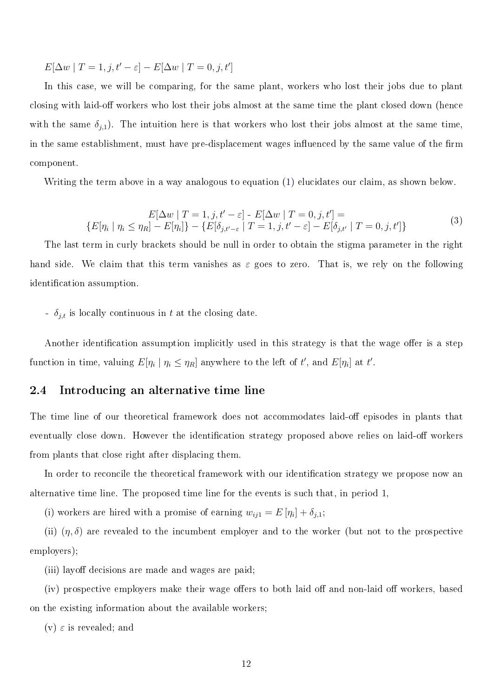$E[\Delta w | T = 1, j, t' - \varepsilon] - E[\Delta w | T = 0, j, t']$ 

In this case, we will be comparing, for the same plant, workers who lost their jobs due to plant closing with laid-off workers who lost their jobs almost at the same time the plant closed down (hence with the same  $\delta_{j,1}$ ). The intuition here is that workers who lost their jobs almost at the same time, in the same establishment, must have pre-displacement wages influenced by the same value of the firm component.

Writing the term above in a way analogous to equation [\(1\)](#page-10-0) elucidates our claim, as shown below.

$$
E[\Delta w | T = 1, j, t' - \varepsilon] - E[\Delta w | T = 0, j, t'] =
$$
  

$$
\{E[\eta_i | \eta_i \le \eta_R] - E[\eta_i]\} - \{E[\delta_{j,t'-\varepsilon} | T = 1, j, t' - \varepsilon] - E[\delta_{j,t'} | T = 0, j, t']\}
$$

$$
(3)
$$

The last term in curly brackets should be null in order to obtain the stigma parameter in the right hand side. We claim that this term vanishes as  $\varepsilon$  goes to zero. That is, we rely on the following identification assumption.

 $\delta_{j,t}$  is locally continuous in t at the closing date.

Another identification assumption implicitly used in this strategy is that the wage offer is a step function in time, valuing  $E[\eta_i | \eta_i \leq \eta_R]$  anywhere to the left of  $t'$ , and  $E[\eta_i]$  at  $t'$ .

#### 2.4 Introducing an alternative time line

The time line of our theoretical framework does not accommodates laid-off episodes in plants that eventually close down. However the identification strategy proposed above relies on laid-off workers from plants that close right after displacing them.

In order to reconcile the theoretical framework with our identification strategy we propose now an alternative time line. The proposed time line for the events is such that, in period 1,

(i) workers are hired with a promise of earning  $w_{ij1} = E[\eta_i] + \delta_{j,1};$ 

(ii)  $(\eta, \delta)$  are revealed to the incumbent employer and to the worker (but not to the prospective employers);

(iii) layoff decisions are made and wages are paid;

 $(iv)$  prospective employers make their wage offers to both laid off and non-laid off workers, based on the existing information about the available workers;

(v)  $\varepsilon$  is revealed; and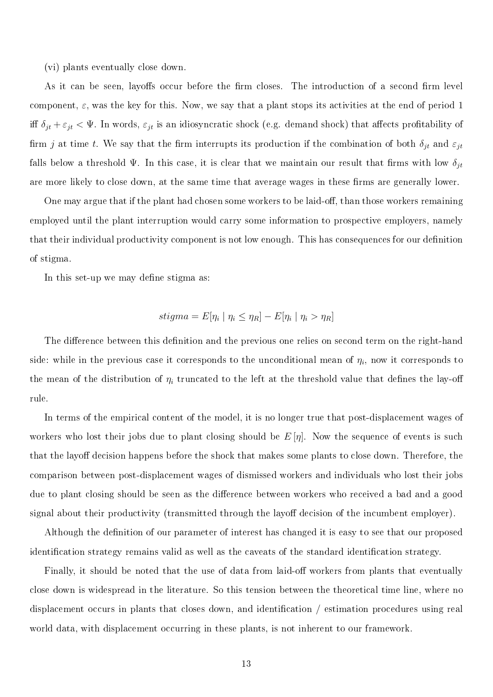(vi) plants eventually close down.

As it can be seen, layoffs occur before the firm closes. The introduction of a second firm level component,  $\varepsilon$ , was the key for this. Now, we say that a plant stops its activities at the end of period 1 iff  $\delta_{jt} + \varepsilon_{jt} < \Psi$ . In words,  $\varepsilon_{jt}$  is an idiosyncratic shock (e.g. demand shock) that affects profitability of firm j at time t. We say that the firm interrupts its production if the combination of both  $\delta_{jt}$  and  $\varepsilon_{jt}$ falls below a threshold  $\Psi$ . In this case, it is clear that we maintain our result that firms with low  $\delta_{it}$ are more likely to close down, at the same time that average wages in these firms are generally lower.

One may argue that if the plant had chosen some workers to be laid-off, than those workers remaining employed until the plant interruption would carry some information to prospective employers, namely that their individual productivity component is not low enough. This has consequences for our definition of stigma.

In this set-up we may define stigma as:

$$
stigma = E[\eta_i \mid \eta_i \le \eta_R] - E[\eta_i \mid \eta_i > \eta_R]
$$

The difference between this definition and the previous one relies on second term on the right-hand side: while in the previous case it corresponds to the unconditional mean of  $\eta_i,$  now it corresponds to the mean of the distribution of  $\eta_i$  truncated to the left at the threshold value that defines the lay-off rule.

In terms of the empirical content of the model, it is no longer true that post-displacement wages of workers who lost their jobs due to plant closing should be  $E[\eta]$ . Now the sequence of events is such that the layoff decision happens before the shock that makes some plants to close down. Therefore, the comparison between post-displacement wages of dismissed workers and individuals who lost their jobs due to plant closing should be seen as the difference between workers who received a bad and a good signal about their productivity (transmitted through the layoff decision of the incumbent employer).

Although the definition of our parameter of interest has changed it is easy to see that our proposed identification strategy remains valid as well as the caveats of the standard identification strategy.

Finally, it should be noted that the use of data from laid-off workers from plants that eventually close down is widespread in the literature. So this tension between the theoretical time line, where no displacement occurs in plants that closes down, and identification  $/$  estimation procedures using real world data, with displacement occurring in these plants, is not inherent to our framework.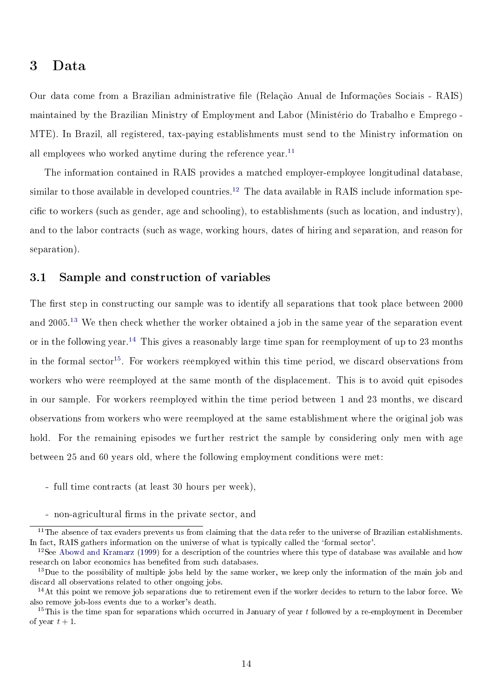### 3 Data

Our data come from a Brazilian administrative le (Relação Anual de Informações Sociais - RAIS) maintained by the Brazilian Ministry of Employment and Labor (Ministério do Trabalho e Emprego - MTE). In Brazil, all registered, tax-paying establishments must send to the Ministry information on all employees who worked anytime during the reference year.<sup>[11](#page-0-0)</sup>

The information contained in RAIS provides a matched employer-employee longitudinal database, similar to those available in developed countries.<sup>[12](#page-0-0)</sup> The data available in RAIS include information specific to workers (such as gender, age and schooling), to establishments (such as location, and industry), and to the labor contracts (such as wage, working hours, dates of hiring and separation, and reason for separation).

### 3.1 Sample and construction of variables

The first step in constructing our sample was to identify all separations that took place between 2000 and 2005.[13](#page-0-0) We then check whether the worker obtained a job in the same year of the separation event or in the following year.[14](#page-0-0) This gives a reasonably large time span for reemployment of up to 23 months in the formal sector<sup>[15](#page-0-0)</sup>. For workers reemployed within this time period, we discard observations from workers who were reemployed at the same month of the displacement. This is to avoid quit episodes in our sample. For workers reemployed within the time period between 1 and 23 months, we discard observations from workers who were reemployed at the same establishment where the original job was hold. For the remaining episodes we further restrict the sample by considering only men with age between 25 and 60 years old, where the following employment conditions were met:

- full time contracts (at least 30 hours per week),
- non-agricultural firms in the private sector, and

 $11$ The absence of tax evaders prevents us from claiming that the data refer to the universe of Brazilian establishments. In fact, RAIS gathers information on the universe of what is typically called the 'formal sector'.

 $12$ See [Abowd and Kramarz](#page-24-3) [\(1999\)](#page-24-3) for a description of the countries where this type of database was available and how research on labor economics has benefited from such databases.

 $13$ Due to the possibility of multiple jobs held by the same worker, we keep only the information of the main job and discard all observations related to other ongoing jobs.

 $14$ At this point we remove job separations due to retirement even if the worker decides to return to the labor force. We also remove job-loss events due to a worker's death.

<sup>&</sup>lt;sup>15</sup>This is the time span for separations which occurred in January of year  $t$  followed by a re-employment in December of year  $t + 1$ .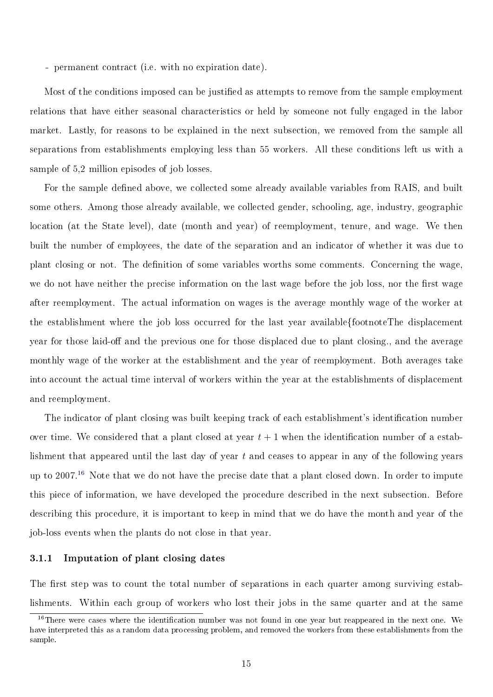- permanent contract (i.e. with no expiration date).

Most of the conditions imposed can be justified as attempts to remove from the sample employment relations that have either seasonal characteristics or held by someone not fully engaged in the labor market. Lastly, for reasons to be explained in the next subsection, we removed from the sample all separations from establishments employing less than 55 workers. All these conditions left us with a sample of 5,2 million episodes of job losses.

For the sample defined above, we collected some already available variables from RAIS, and built some others. Among those already available, we collected gender, schooling, age, industry, geographic location (at the State level), date (month and year) of reemployment, tenure, and wage. We then built the number of employees, the date of the separation and an indicator of whether it was due to plant closing or not. The denition of some variables worths some comments. Concerning the wage, we do not have neither the precise information on the last wage before the job loss, nor the first wage after reemployment. The actual information on wages is the average monthly wage of the worker at the establishment where the job loss occurred for the last year available{footnoteThe displacement year for those laid-off and the previous one for those displaced due to plant closing., and the average monthly wage of the worker at the establishment and the year of reemployment. Both averages take into account the actual time interval of workers within the year at the establishments of displacement and reemployment.

The indicator of plant closing was built keeping track of each establishment's identification number over time. We considered that a plant closed at year  $t + 1$  when the identification number of a establishment that appeared until the last day of year t and ceases to appear in any of the following years up to 2007.<sup>[16](#page-0-0)</sup> Note that we do not have the precise date that a plant closed down. In order to impute this piece of information, we have developed the procedure described in the next subsection. Before describing this procedure, it is important to keep in mind that we do have the month and year of the job-loss events when the plants do not close in that year.

#### 3.1.1 Imputation of plant closing dates

The first step was to count the total number of separations in each quarter among surviving establishments. Within each group of workers who lost their jobs in the same quarter and at the same

<sup>&</sup>lt;sup>16</sup>There were cases where the identification number was not found in one year but reappeared in the next one. We have interpreted this as a random data processing problem, and removed the workers from these establishments from the sample.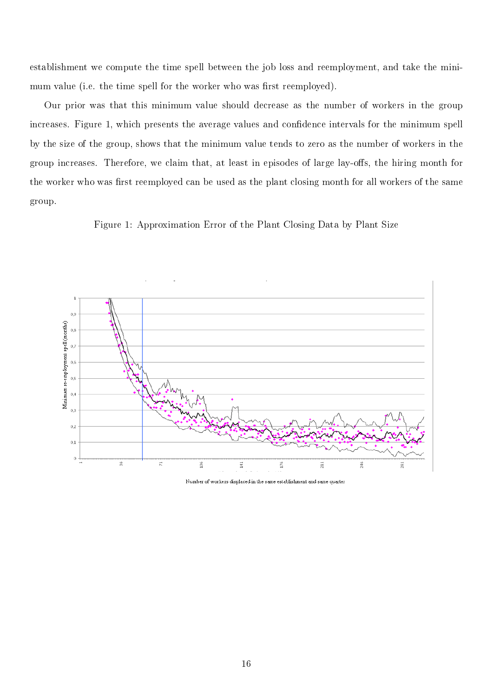establishment we compute the time spell between the job loss and reemployment, and take the minimum value (i.e. the time spell for the worker who was first reemployed).

Our prior was that this minimum value should decrease as the number of workers in the group increases. Figure 1, which presents the average values and confidence intervals for the minimum spell by the size of the group, shows that the minimum value tends to zero as the number of workers in the group increases. Therefore, we claim that, at least in episodes of large lay-offs, the hiring month for the worker who was first reemployed can be used as the plant closing month for all workers of the same group.





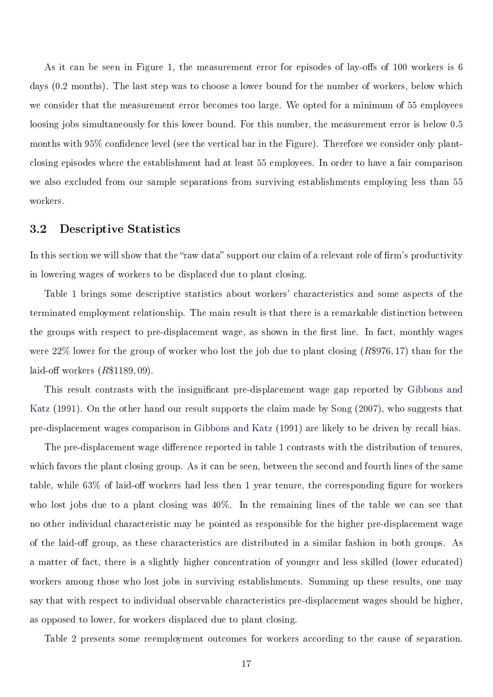As it can be seen in Figure 1, the measurement error for episodes of lay-offs of 100 workers is  $6$ days (0.2 months). The last step was to choose a lower bound for the number of workers, below which we consider that the measurement error becomes too large. We opted for a minimum of 55 employees loosing jobs simultaneously for this lower bound. For this number, the measurement error is below 0.5 months with 95% confidence level (see the vertical bar in the Figure). Therefore we consider only plantclosing episodes where the establishment had at least 55 employees. In order to have a fair comparison we also excluded from our sample separations from surviving establishments employing less than 55 workers.

#### 3.2 Descriptive Statistics

In this section we will show that the "raw data" support our claim of a relevant role of firm's productivity in lowering wages of workers to be displaced due to plant closing.

Table [1](#page-17-0) brings some descriptive statistics about workers' characteristics and some aspects of the terminated employment relationship. The main result is that there is a remarkable distinction between the groups with respect to pre-displacement wage, as shown in the first line. In fact, monthly wages were 22% lower for the group of worker who lost the job due to plant closing (R\$976, 17) than for the laid-off workers  $(R$1189,09)$ .

This result contrasts with the insignicant pre-displacement wage gap reported by [Gibbons and](#page-24-0) [Katz](#page-24-0) [\(1991\)](#page-24-0). On the other hand our result supports the claim made by [Song](#page-25-4) [\(2007\)](#page-25-4), who suggests that pre-displacement wages comparison in [Gibbons and Katz](#page-24-0) [\(1991\)](#page-24-0) are likely to be driven by recall bias.

The pre-displacement wage difference reported in table [1](#page-17-0) contrasts with the distribution of tenures, which favors the plant closing group. As it can be seen, between the second and fourth lines of the same table, while  $63\%$  of laid-off workers had less then 1 year tenure, the corresponding figure for workers who lost jobs due to a plant closing was 40%. In the remaining lines of the table we can see that no other individual characteristic may be pointed as responsible for the higher pre-displacement wage of the laid-off group, as these characteristics are distributed in a similar fashion in both groups. As a matter of fact, there is a slightly higher concentration of younger and less skilled (lower educated) workers among those who lost jobs in surviving establishments. Summing up these results, one may say that with respect to individual observable characteristics pre-displacement wages should be higher, as opposed to lower, for workers displaced due to plant closing.

Table [2](#page-17-1) presents some reemployment outcomes for workers according to the cause of separation.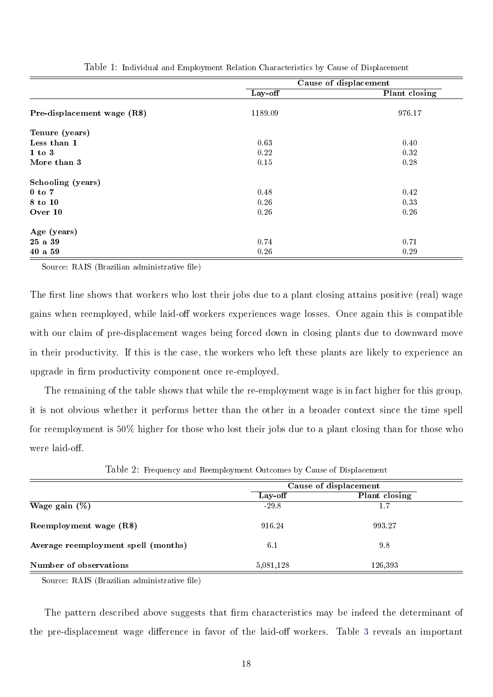|                              | Cause of displacement |               |  |
|------------------------------|-----------------------|---------------|--|
|                              | Lay-off               | Plant closing |  |
| Pre-displacement wage $(R$)$ | 1189.09               | 976.17        |  |
| Tenure (years)               |                       |               |  |
| Less than 1                  | 0.63                  | 0.40          |  |
| $1$ to $3$                   | 0.22                  | 0.32          |  |
| More than 3                  | 0.15                  | 0.28          |  |
| Schooling (years)            |                       |               |  |
| $0$ to $7$                   | 0.48                  | 0.42          |  |
| 8 to 10                      | 0.26                  | 0.33          |  |
| Over 10                      | 0.26                  | 0.26          |  |
| Age (years)                  |                       |               |  |
| 25 a 39                      | 0.74                  | 0.71          |  |
| 40a59                        | 0.26                  | 0.29          |  |

<span id="page-17-0"></span>

| Table 1: Individual and Employment Relation Characteristics by Cause of Displacement |  |  |  |
|--------------------------------------------------------------------------------------|--|--|--|
|--------------------------------------------------------------------------------------|--|--|--|

Source: RAIS (Brazilian administrative file)

The first line shows that workers who lost their jobs due to a plant closing attains positive (real) wage gains when reemployed, while laid-off workers experiences wage losses. Once again this is compatible with our claim of pre-displacement wages being forced down in closing plants due to downward move in their productivity. If this is the case, the workers who left these plants are likely to experience an upgrade in firm productivity component once re-employed.

The remaining of the table shows that while the re-employment wage is in fact higher for this group, it is not obvious whether it performs better than the other in a broader context since the time spell for reemployment is 50% higher for those who lost their jobs due to a plant closing than for those who were laid-off.

<span id="page-17-1"></span>

|  |  | Table 2: Frequency and Reemployment Outcomes by Cause of Displacement |  |
|--|--|-----------------------------------------------------------------------|--|
|  |  |                                                                       |  |

|                                     | Cause of displacement |               |  |
|-------------------------------------|-----------------------|---------------|--|
|                                     | Lay off               | Plant closing |  |
| Wage gain $(\%)$                    | $-29.8$               | 1.7           |  |
| Reemployment wage (R\$)             | 916.24                | 993.27        |  |
| Average reemployment spell (months) | 6.1                   | 9.8           |  |
| Number of observations              | 5,081,128             | 126,393       |  |

Source: RAIS (Brazilian administrative file)

The pattern described above suggests that firm characteristics may be indeed the determinant of the pre-displacement wage difference in favor of the laid-off workers. Table [3](#page-18-0) reveals an important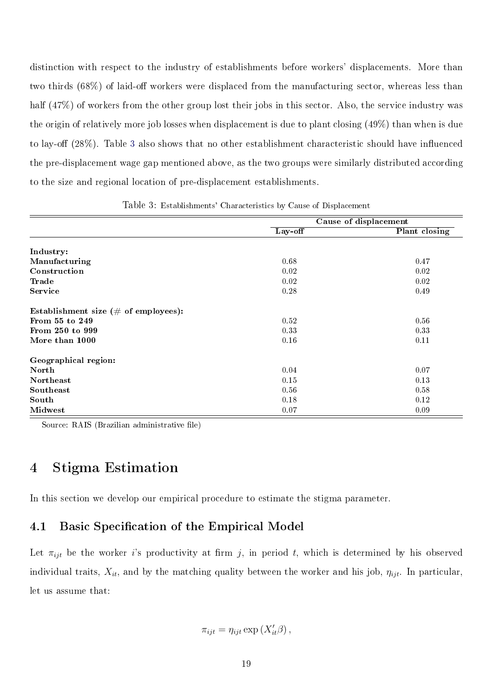distinction with respect to the industry of establishments before workers' displacements. More than two thirds  $(68\%)$  of laid-off workers were displaced from the manufacturing sector, whereas less than half (47%) of workers from the other group lost their jobs in this sector. Also, the service industry was the origin of relatively more job losses when displacement is due to plant closing (49%) than when is due to lay-off  $(28\%)$ . Table [3](#page-18-0) also shows that no other establishment characteristic should have influenced the pre-displacement wage gap mentioned above, as the two groups were similarly distributed according to the size and regional location of pre-displacement establishments.

|                                                 | Cause of displacement |               |  |
|-------------------------------------------------|-----------------------|---------------|--|
|                                                 | Lay-off               | Plant closing |  |
| Industry:                                       |                       |               |  |
| Manufacturing                                   | 0.68                  | 0.47          |  |
| Construction                                    | 0.02                  | 0.02          |  |
| Trade                                           | 0.02                  | 0.02          |  |
| <b>Service</b>                                  | 0.28                  | 0.49          |  |
| Establishment size $(\# \text{ of employees}).$ |                       |               |  |
| From 55 to 249                                  | 0.52                  | 0.56          |  |
| From 250 to 999                                 | 0.33                  | 0.33          |  |
| More than 1000                                  | 0.16                  | 0.11          |  |
| Geographical region:                            |                       |               |  |
| North                                           | 0.04                  | 0.07          |  |
| Northeast                                       | 0.15                  | 0.13          |  |
| Southeast                                       | 0.56                  | 0.58          |  |
| South                                           | 0.18                  | 0.12          |  |
| <b>Midwest</b>                                  | 0.07                  | 0.09          |  |

<span id="page-18-0"></span>Table 3: Establishments' Characteristics by Cause of Displacement

Source: RAIS (Brazilian administrative file)

## 4 Stigma Estimation

In this section we develop our empirical procedure to estimate the stigma parameter.

## <span id="page-18-1"></span>4.1 Basic Specification of the Empirical Model

Let  $\pi_{ijt}$  be the worker i's productivity at firm j, in period t, which is determined by his observed individual traits,  $X_{it}$ , and by the matching quality between the worker and his job,  $\eta_{ijt}$ . In particular, let us assume that:

$$
\pi_{ijt} = \eta_{ijt} \exp\left(X'_{it}\beta\right),\,
$$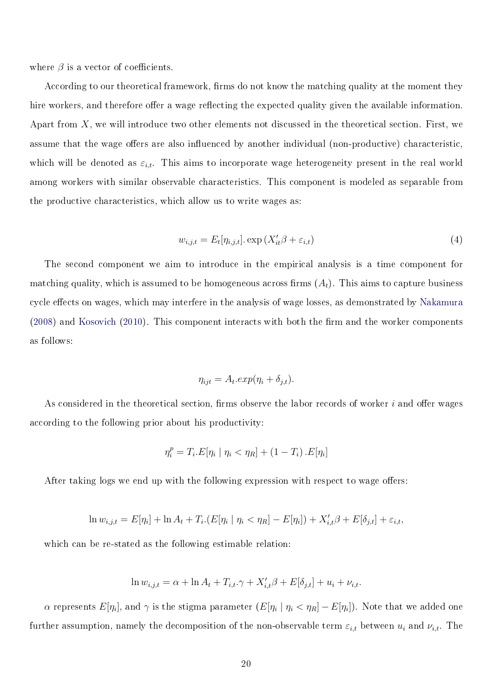where  $\beta$  is a vector of coefficients.

According to our theoretical framework, firms do not know the matching quality at the moment they hire workers, and therefore offer a wage reflecting the expected quality given the available information. Apart from  $X$ , we will introduce two other elements not discussed in the theoretical section. First, we assume that the wage offers are also influenced by another individual (non-productive) characteristic, which will be denoted as  $\varepsilon_{i,t}$ . This aims to incorporate wage heterogeneity present in the real world among workers with similar observable characteristics. This component is modeled as separable from the productive characteristics, which allow us to write wages as:

$$
w_{i,j,t} = E_t[\eta_{i,j,t}]. \exp\left(X_{it}'\beta + \varepsilon_{i,t}\right)
$$
\n<sup>(4)</sup>

The second component we aim to introduce in the empirical analysis is a time component for matching quality, which is assumed to be homogeneous across firms  $(A_t)$ . This aims to capture business cycle effects on wages, which may interfere in the analysis of wage losses, as demonstrated by [Nakamura](#page-25-5)  $(2008)$  and [Kosovich](#page-25-6)  $(2010)$ . This component interacts with both the firm and the worker components as follows:

$$
\eta_{ijt} = A_t \exp(\eta_i + \delta_{j,t}).
$$

As considered in the theoretical section, firms observe the labor records of worker i and offer wages according to the following prior about his productivity:

$$
\eta_i^p = T_i.E[\eta_i \mid \eta_i < \eta_R] + (1 - T_i) . E[\eta_i]
$$

After taking logs we end up with the following expression with respect to wage offers:

$$
\ln w_{i,j,t} = E[\eta_i] + \ln A_t + T_i \cdot (E[\eta_i \mid \eta_i < \eta_i] - E[\eta_i]) + X'_{i,t} \beta + E[\delta_{j,t}] + \varepsilon_{i,t},
$$

which can be re-stated as the following estimable relation:

$$
\ln w_{i,j,t} = \alpha + \ln A_t + T_{i,t}.\gamma + X'_{i,t} \beta + E[\delta_{j,t}] + u_i + \nu_{i,t}.
$$

 $\alpha$  represents  $E[\eta_i]$ , and  $\gamma$  is the stigma parameter  $(E[\eta_i\mid \eta_i<\eta_R]-E[\eta_i])$ . Note that we added one further assumption, namely the decomposition of the non-observable term  $\varepsilon_{i,t}$  between  $u_i$  and  $\nu_{i,t}$ . The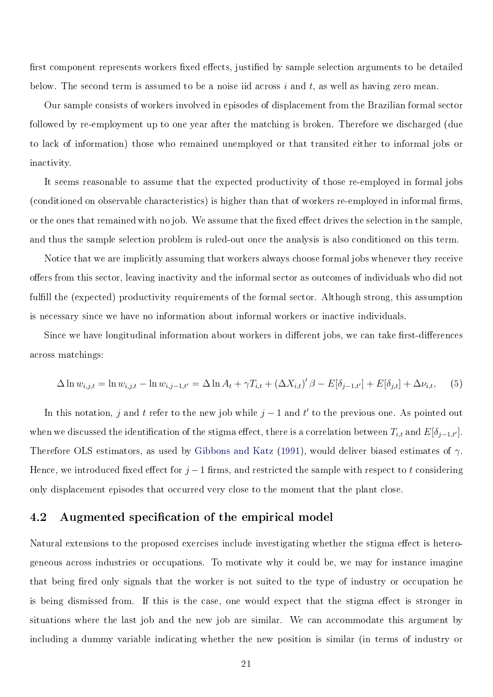first component represents workers fixed effects, justified by sample selection arguments to be detailed below. The second term is assumed to be a noise iid across  $i$  and  $t$ , as well as having zero mean.

Our sample consists of workers involved in episodes of displacement from the Brazilian formal sector followed by re-employment up to one year after the matching is broken. Therefore we discharged (due to lack of information) those who remained unemployed or that transited either to informal jobs or inactivity.

It seems reasonable to assume that the expected productivity of those re-employed in formal jobs (conditioned on observable characteristics) is higher than that of workers re-employed in informal firms, or the ones that remained with no job. We assume that the fixed effect drives the selection in the sample, and thus the sample selection problem is ruled-out once the analysis is also conditioned on this term.

Notice that we are implicitly assuming that workers always choose formal jobs whenever they receive offers from this sector, leaving inactivity and the informal sector as outcomes of individuals who did not fulfill the (expected) productivity requirements of the formal sector. Although strong, this assumption is necessary since we have no information about informal workers or inactive individuals.

Since we have longitudinal information about workers in different jobs, we can take first-differences across matchings:

$$
\Delta \ln w_{i,j,t} = \ln w_{i,j,t} - \ln w_{i,j-1,t'} = \Delta \ln A_t + \gamma T_{i,t} + (\Delta X_{i,t})' \beta - E[\delta_{j-1,t'}] + E[\delta_{j,t}] + \Delta \nu_{i,t}, \quad (5)
$$

In this notation, j and t refer to the new job while  $j-1$  and t' to the previous one. As pointed out when we discussed the identification of the stigma effect, there is a correlation between  $T_{i,t}$  and  $E[\delta_{j-1,t'}].$ Therefore OLS estimators, as used by [Gibbons and Katz](#page-24-0) [\(1991\)](#page-24-0), would deliver biased estimates of  $\gamma$ . Hence, we introduced fixed effect for  $j-1$  firms, and restricted the sample with respect to t considering only displacement episodes that occurred very close to the moment that the plant close.

### 4.2 Augmented specification of the empirical model

Natural extensions to the proposed exercises include investigating whether the stigma effect is heterogeneous across industries or occupations. To motivate why it could be, we may for instance imagine that being fired only signals that the worker is not suited to the type of industry or occupation he is being dismissed from. If this is the case, one would expect that the stigma effect is stronger in situations where the last job and the new job are similar. We can accommodate this argument by including a dummy variable indicating whether the new position is similar (in terms of industry or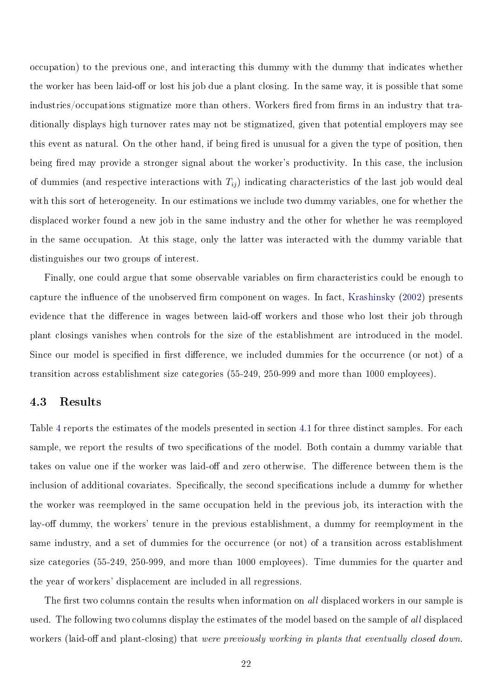occupation) to the previous one, and interacting this dummy with the dummy that indicates whether the worker has been laid-off or lost his job due a plant closing. In the same way, it is possible that some industries/occupations stigmatize more than others. Workers fired from firms in an industry that traditionally displays high turnover rates may not be stigmatized, given that potential employers may see this event as natural. On the other hand, if being fired is unusual for a given the type of position, then being fired may provide a stronger signal about the worker's productivity. In this case, the inclusion of dummies (and respective interactions with  $T_{ij}$ ) indicating characteristics of the last job would deal with this sort of heterogeneity. In our estimations we include two dummy variables, one for whether the displaced worker found a new job in the same industry and the other for whether he was reemployed in the same occupation. At this stage, only the latter was interacted with the dummy variable that distinguishes our two groups of interest.

Finally, one could argue that some observable variables on firm characteristics could be enough to capture the influence of the unobserved firm component on wages. In fact, [Krashinsky](#page-25-3) [\(2002\)](#page-25-3) presents evidence that the difference in wages between laid-off workers and those who lost their job through plant closings vanishes when controls for the size of the establishment are introduced in the model. Since our model is specified in first difference, we included dummies for the occurrence (or not) of a transition across establishment size categories (55-249, 250-999 and more than 1000 employees).

#### 4.3 Results

Table [4](#page-23-0) reports the estimates of the models presented in section [4.1](#page-18-1) for three distinct samples. For each sample, we report the results of two specifications of the model. Both contain a dummy variable that takes on value one if the worker was laid-off and zero otherwise. The difference between them is the inclusion of additional covariates. Specifically, the second specifications include a dummy for whether the worker was reemployed in the same occupation held in the previous job, its interaction with the lay-off dummy, the workers' tenure in the previous establishment, a dummy for reemployment in the same industry, and a set of dummies for the occurrence (or not) of a transition across establishment size categories (55-249, 250-999, and more than 1000 employees). Time dummies for the quarter and the year of workers' displacement are included in all regressions.

The first two columns contain the results when information on all displaced workers in our sample is used. The following two columns display the estimates of the model based on the sample of all displaced workers (laid-off and plant-closing) that were previously working in plants that eventually closed down.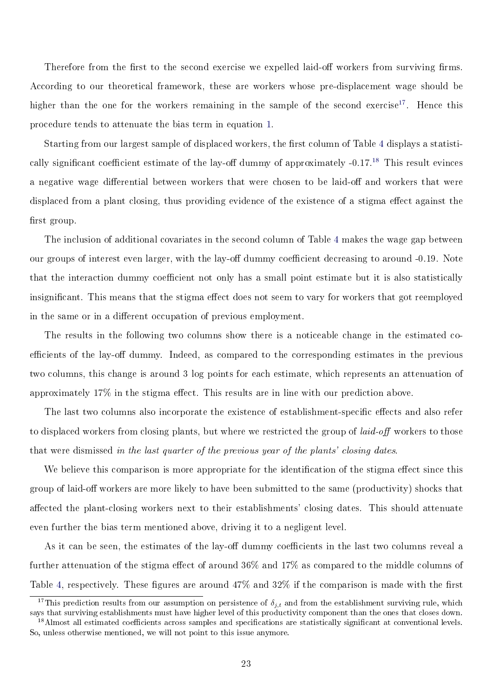Therefore from the first to the second exercise we expelled laid-off workers from surviving firms. According to our theoretical framework, these are workers whose pre-displacement wage should be higher than the one for the workers remaining in the sample of the second exercise<sup>[17](#page-0-0)</sup>. Hence this procedure tends to attenuate the bias term in equation [1.](#page-10-0)

Starting from our largest sample of displaced workers, the first column of Table [4](#page-23-0) displays a statisti-cally significant coefficient estimate of the lay-off dummy of approximately -0.17.<sup>[18](#page-0-0)</sup> This result evinces a negative wage differential between workers that were chosen to be laid-off and workers that were displaced from a plant closing, thus providing evidence of the existence of a stigma effect against the first group.

The inclusion of additional covariates in the second column of Table [4](#page-23-0) makes the wage gap between our groups of interest even larger, with the lay-off dummy coefficient decreasing to around -0.19. Note that the interaction dummy coefficient not only has a small point estimate but it is also statistically insignificant. This means that the stigma effect does not seem to vary for workers that got reemployed in the same or in a different occupation of previous employment.

The results in the following two columns show there is a noticeable change in the estimated coefficients of the lay-off dummy. Indeed, as compared to the corresponding estimates in the previous two columns, this change is around 3 log points for each estimate, which represents an attenuation of approximately  $17\%$  in the stigma effect. This results are in line with our prediction above.

The last two columns also incorporate the existence of establishment-specific effects and also refer to displaced workers from closing plants, but where we restricted the group of *laid-off* workers to those that were dismissed in the last quarter of the previous year of the plants' closing dates.

We believe this comparison is more appropriate for the identification of the stigma effect since this group of laid-off workers are more likely to have been submitted to the same (productivity) shocks that affected the plant-closing workers next to their establishments' closing dates. This should attenuate even further the bias term mentioned above, driving it to a negligent level.

As it can be seen, the estimates of the lay-off dummy coefficients in the last two columns reveal a further attenuation of the stigma effect of around  $36\%$  and  $17\%$  as compared to the middle columns of Table [4,](#page-23-0) respectively. These figures are around  $47\%$  and  $32\%$  if the comparison is made with the first

<sup>&</sup>lt;sup>17</sup>This prediction results from our assumption on persistence of  $\delta_{i,t}$  and from the establishment surviving rule, which says that surviving establishments must have higher level of this productivity component than the ones that closes down.

<sup>&</sup>lt;sup>18</sup>Almost all estimated coefficients across samples and specifications are statistically significant at conventional levels. So, unless otherwise mentioned, we will not point to this issue anymore.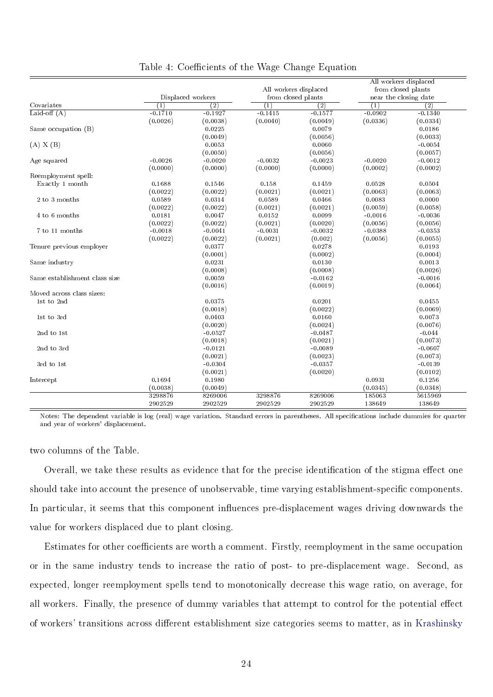|                               |                  |                   |                       |                    |           | All workers displaced |  |
|-------------------------------|------------------|-------------------|-----------------------|--------------------|-----------|-----------------------|--|
|                               |                  |                   | All workers displaced |                    |           | from closed plants    |  |
|                               |                  | Displaced workers |                       | from closed plants |           | near the closing date |  |
| Covariates                    | $\left(1\right)$ | $\overline{(2)}$  | (1)                   | $\overline{(2)}$   | (1)       | $\overline{(2)}$      |  |
| Laid-off $(A)$                | $-0.1710$        | $-0.1927$         | $-0.1415$             | $-0.1577$          | $-0.0902$ | $-0.1340$             |  |
|                               | (0.0026)         | (0.0038)          | (0.0040)              | (0.0049)           | (0.0336)  | (0.0334)              |  |
| Same occupation (B)           |                  | 0.0225            |                       | 0.0079             |           | 0.0186                |  |
|                               |                  | (0.0049)          |                       | (0.0056)           |           | (0.0033)              |  |
| (A) X (B)                     |                  | 0.0053            |                       | 0.0060             |           | $-0.0054$             |  |
|                               |                  | (0.0050)          |                       | (0.0056)           |           | (0.0057)              |  |
| Age squared                   | $-0.0026$        | $-0.0020$         | $-0.0032$             | $-0.0023$          | $-0.0020$ | $-0.0012$             |  |
|                               | (0.0000)         | (0.0000)          | (0.0000)              | (0.0000)           | (0.0002)  | (0.0002)              |  |
| Reemployment spell:           |                  |                   |                       |                    |           |                       |  |
| Exactly 1 month               | 0.1688           | 0.1546            | 0.158                 | 0.1459             | 0.0528    | 0.0504                |  |
|                               | (0.0022)         | (0.0022)          | (0.0021)              | (0.0021)           | (0.0063)  | (0.0063)              |  |
| 2 to 3 months                 | 0.0589           | 0.0314            | 0.0589                | 0.0466             | 0.0083    | 0.0000                |  |
|                               | (0.0022)         | (0.0022)          | (0.0021)              | (0.0021)           | (0.0059)  | (0.0058)              |  |
| 4 to 6 months                 | 0.0181           | 0.0047            | 0.0152                | 0.0099             | $-0.0016$ | $-0.0036$             |  |
|                               | (0.0022)         | (0.0022)          | (0.0021)              | (0.0020)           | (0.0056)  | (0.0056)              |  |
| 7 to 11 months                | $-0.0018$        | $-0.0041$         | $-0.0031$             | $-0.0032$          | $-0.0388$ | $-0.0353$             |  |
|                               | (0.0022)         | (0.0022)          | (0.0021)              | (0.002)            | (0.0056)  | (0.0055)              |  |
| Tenure previous employer      |                  | 0.0377            |                       | 0.0278             |           | 0.0193                |  |
|                               |                  | (0.0001)          |                       | (0.0002)           |           | (0.0004)              |  |
| Same industry                 |                  | 0.0231            |                       | 0.0130             |           | 0.0013                |  |
|                               |                  | (0.0008)          |                       | (0.0008)           |           | (0.0026)              |  |
| Same establishment class size |                  | 0.0059            |                       | $-0.0162$          |           | $-0.0016$             |  |
|                               |                  | (0.0016)          |                       | (0.0019)           |           | (0.0064)              |  |
| Moved across class sizes:     |                  |                   |                       |                    |           |                       |  |
| 1st to 2nd                    |                  | 0.0375            |                       | 0.0201             |           | 0.0455                |  |
|                               |                  | (0.0018)          |                       | (0.0022)           |           | (0.0069)              |  |
| 1st to 3rd                    |                  | 0.0403            |                       | 0.0160             |           | 0.0073                |  |
|                               |                  | (0.0020)          |                       | (0.0024)           |           | (0.0076)              |  |
| 2nd to 1st                    |                  | $-0.0527$         |                       | $-0.0487$          |           | $-0.044$              |  |
|                               |                  | (0.0018)          |                       | (0.0021)           |           | (0.0073)              |  |
| 2nd to 3rd                    |                  | $-0.0121$         |                       | $-0.0089$          |           | $-0.0607$             |  |
|                               |                  | (0.0021)          |                       | (0.0023)           |           | (0.0073)              |  |
| 3rd to 1st                    |                  | $-0.0304$         |                       | $-0.0357$          |           | $-0.0139$             |  |
|                               |                  | (0.0021)          |                       | (0.0020)           |           | (0.0102)              |  |
| Intercept                     | 0.1694           | 0.1980            |                       |                    | 0.0931    | 0.1256                |  |
|                               | (0.0038)         | (0.0049)          |                       |                    | (0.0345)  | (0.0348)              |  |
|                               | 3298876          | 8269006           | 3298876               | 8269006            | 185063    | 5615969               |  |
|                               | 2902529          | 2902529           | 2902529               | 2902529            | 138649    | 138649                |  |

<span id="page-23-0"></span>Table 4: Coefficients of the Wage Change Equation

Notes: The dependent variable is log (real) wage variation. Standard errors in parentheses. All specifications include dummies for quarter and year of workers' displacement.

two columns of the Table.

Overall, we take these results as evidence that for the precise identification of the stigma effect one should take into account the presence of unobservable, time varying establishment-specific components. In particular, it seems that this component influences pre-displacement wages driving downwards the value for workers displaced due to plant closing.

Estimates for other coefficients are worth a comment. Firstly, reemployment in the same occupation or in the same industry tends to increase the ratio of post- to pre-displacement wage. Second, as expected, longer reemployment spells tend to monotonically decrease this wage ratio, on average, for all workers. Finally, the presence of dummy variables that attempt to control for the potential effect of workers' transitions across different establishment size categories seems to matter, as in [Krashinsky](#page-25-3)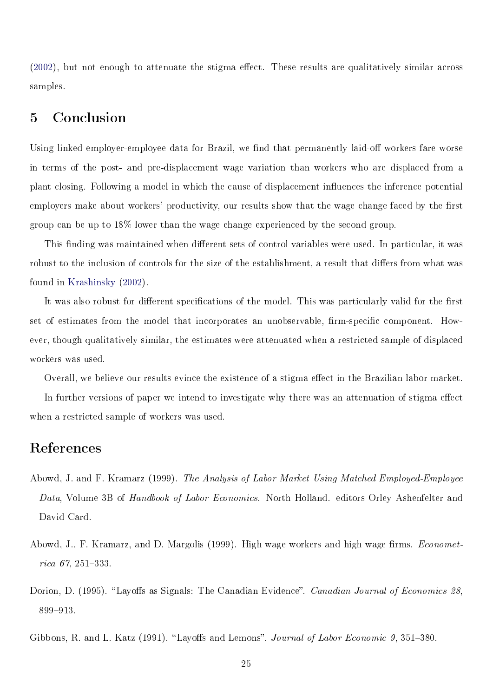$(2002)$ , but not enough to attenuate the stigma effect. These results are qualitatively similar across samples.

# 5 Conclusion

Using linked employer-employee data for Brazil, we find that permanently laid-off workers fare worse in terms of the post- and pre-displacement wage variation than workers who are displaced from a plant closing. Following a model in which the cause of displacement influences the inference potential employers make about workers' productivity, our results show that the wage change faced by the first group can be up to 18% lower than the wage change experienced by the second group.

This finding was maintained when different sets of control variables were used. In particular, it was robust to the inclusion of controls for the size of the establishment, a result that differs from what was found in [Krashinsky](#page-25-3) [\(2002\)](#page-25-3).

It was also robust for different specifications of the model. This was particularly valid for the first set of estimates from the model that incorporates an unobservable, firm-specific component. However, though qualitatively similar, the estimates were attenuated when a restricted sample of displaced workers was used.

Overall, we believe our results evince the existence of a stigma effect in the Brazilian labor market.

In further versions of paper we intend to investigate why there was an attenuation of stigma effect when a restricted sample of workers was used.

## References

- <span id="page-24-3"></span>Abowd, J. and F. Kramarz (1999). The Analysis of Labor Market Using Matched Employed-Employee Data, Volume 3B of Handbook of Labor Economics. North Holland. editors Orley Ashenfelter and David Card.
- <span id="page-24-1"></span>Abowd, J., F. Kramarz, and D. Margolis (1999). High wage workers and high wage firms. *Economet*rica  $67, 251 - 333$ .
- <span id="page-24-2"></span>Dorion, D. (1995). "Layoffs as Signals: The Canadian Evidence". Canadian Journal of Economics 28, 899-913.

<span id="page-24-0"></span>Gibbons, R. and L. Katz (1991). "Layoffs and Lemons". Journal of Labor Economic 9, 351–380.